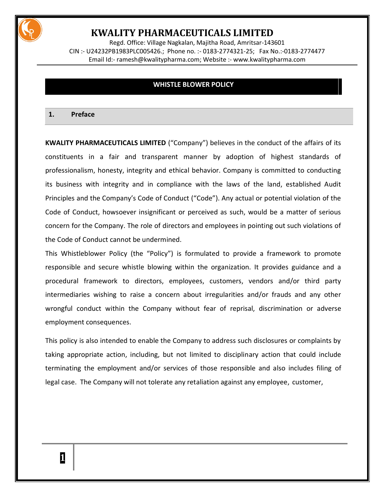

Regd. Office: Village Nagkalan, Majitha Road, Amritsar-143601 CIN :- U24232PB1983PLC005426.; Phone no. :- 0183-2774321-25; Fax No.:-0183-2774477 Email Id:- [ramesh@kwalitypharma.com;](mailto:ramesh@kwalitypharma.com) Website :- [www.kwalitypharma.com](http://www.kwalitypharma.com/)

### **WHISTLE BLOWER POLICY**

#### **1. Preface**

**KWALITY PHARMACEUTICALS LIMITED** ("Company") believes in the conduct of the affairs of its constituents in a fair and transparent manner by adoption of highest standards of professionalism, honesty, integrity and ethical behavior. Company is committed to conducting its business with integrity and in compliance with the laws of the land, established Audit Principles and the Company's Code of Conduct ("Code"). Any actual or potential violation of the Code of Conduct, howsoever insignificant or perceived as such, would be a matter of serious concern for the Company. The role of directors and employees in pointing out such violations of the Code of Conduct cannot be undermined.

This Whistleblower Policy (the "Policy") is formulated to provide a framework to promote responsible and secure whistle blowing within the organization. It provides guidance and a procedural framework to directors, employees, customers, vendors and/or third party intermediaries wishing to raise a concern about irregularities and/or frauds and any other wrongful conduct within the Company without fear of reprisal, discrimination or adverse employment consequences.

This policy is also intended to enable the Company to address such disclosures or complaints by taking appropriate action, including, but not limited to disciplinary action that could include terminating the employment and/or services of those responsible and also includes filing of legal case. The Company will not tolerate any retaliation against any employee, customer,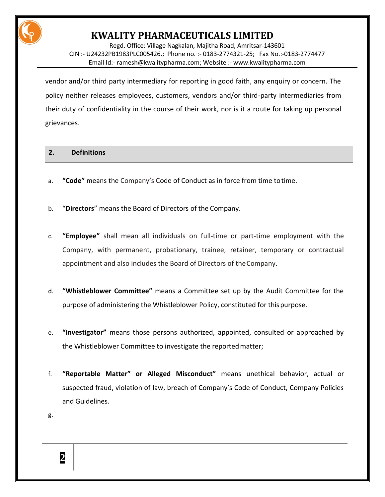

Regd. Office: Village Nagkalan, Majitha Road, Amritsar-143601 CIN :- U24232PB1983PLC005426.; Phone no. :- 0183-2774321-25; Fax No.:-0183-2774477 Email Id:- [ramesh@kwalitypharma.com;](mailto:ramesh@kwalitypharma.com) Website :- [www.kwalitypharma.com](http://www.kwalitypharma.com/)

vendor and/or third party intermediary for reporting in good faith, any enquiry or concern. The policy neither releases employees, customers, vendors and/or third-party intermediaries from their duty of confidentiality in the course of their work, nor is it a route for taking up personal grievances.

### **2. Definitions**

- a. **"Code"** means the Company's Code of Conduct as in force from time totime.
- b. "**Directors**" means the Board of Directors of the Company.
- c. **"Employee"** shall mean all individuals on full-time or part-time employment with the Company, with permanent, probationary, trainee, retainer, temporary or contractual appointment and also includes the Board of Directors of theCompany.
- d. **"Whistleblower Committee"** means a Committee set up by the Audit Committee for the purpose of administering the Whistleblower Policy, constituted for thispurpose.
- e. **"Investigator"** means those persons authorized, appointed, consulted or approached by the Whistleblower Committee to investigate the reportedmatter;
- f. **"Reportable Matter" or Alleged Misconduct"** means unethical behavior, actual or suspected fraud, violation of law, breach of Company's Code of Conduct, Company Policies and Guidelines.
- g.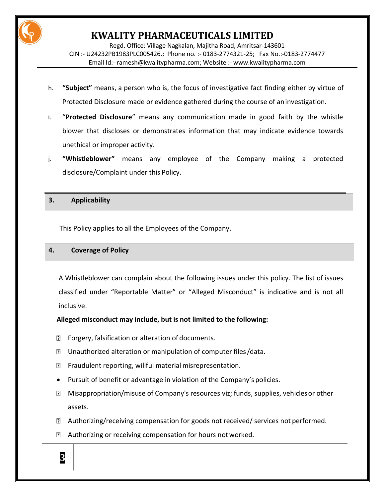

Regd. Office: Village Nagkalan, Majitha Road, Amritsar-143601 CIN :- U24232PB1983PLC005426.; Phone no. :- 0183-2774321-25; Fax No.:-0183-2774477 Email Id:- [ramesh@kwalitypharma.com;](mailto:ramesh@kwalitypharma.com) Website :- [www.kwalitypharma.com](http://www.kwalitypharma.com/)

- h. **"Subject"** means, a person who is, the focus of investigative fact finding either by virtue of Protected Disclosure made or evidence gathered during the course of aninvestigation.
- i. "**Protected Disclosure**" means any communication made in good faith by the whistle blower that discloses or demonstrates information that may indicate evidence towards unethical or improper activity.
- j. **"Whistleblower"** means any employee of the Company making a protected disclosure/Complaint under this Policy.

### **3. Applicability**

This Policy applies to all the Employees of the Company.

### **4. Coverage of Policy**

**3**

A Whistleblower can complain about the following issues under this policy. The list of issues classified under "Reportable Matter" or "Alleged Misconduct" is indicative and is not all inclusive.

## **Alleged misconduct may include, but is not limited to the following:**

- **B** Forgery, falsification or alteration of documents.
- **D** Unauthorized alteration or manipulation of computer files/data.
- **E** Fraudulent reporting, willful material misrepresentation.
- Pursuit of benefit or advantage in violation of the Company's policies.
- **Misappropriation/misuse of Company's resources viz; funds, supplies, vehicles or other** assets.
- **Z** Authorizing/receiving compensation for goods not received/ services not performed.
- **Z** Authorizing or receiving compensation for hours not worked.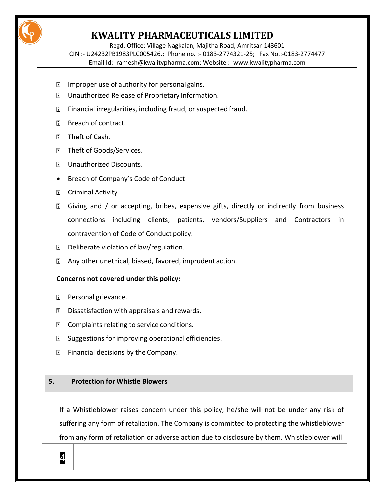

Regd. Office: Village Nagkalan, Majitha Road, Amritsar-143601 CIN :- U24232PB1983PLC005426.; Phone no. :- 0183-2774321-25; Fax No.:-0183-2774477 Email Id:- [ramesh@kwalitypharma.com;](mailto:ramesh@kwalitypharma.com) Website :- [www.kwalitypharma.com](http://www.kwalitypharma.com/)

- **If** Improper use of authority for personal gains.
- **D** Unauthorized Release of Proprietary Information.
- **EXECUTE:** Financial irregularities, including fraud, or suspected fraud.
- **B** Breach of contract.
- **D** Theft of Cash.
- **7** Theft of Goods/Services.
- **Z** Unauthorized Discounts.
- Breach of Company's Code of Conduct
- **D** Criminal Activity
- **B** Giving and / or accepting, bribes, expensive gifts, directly or indirectly from business connections including clients, patients, vendors/Suppliers and Contractors in contravention of Code of Conduct policy.
- **D** Deliberate violation of law/regulation.
- Any other unethical, biased, favored, imprudent action.

## **Concerns not covered under this policy:**

- **P** Personal grievance.
- **D** Dissatisfaction with appraisals and rewards.
- **D** Complaints relating to service conditions.
- **B** Suggestions for improving operational efficiencies.
- $\mathbb D$  Financial decisions by the Company.

## **5. Protection for Whistle Blowers**

If a Whistleblower raises concern under this policy, he/she will not be under any risk of suffering any form of retaliation. The Company is committed to protecting the whistleblower from any form of retaliation or adverse action due to disclosure by them. Whistleblower will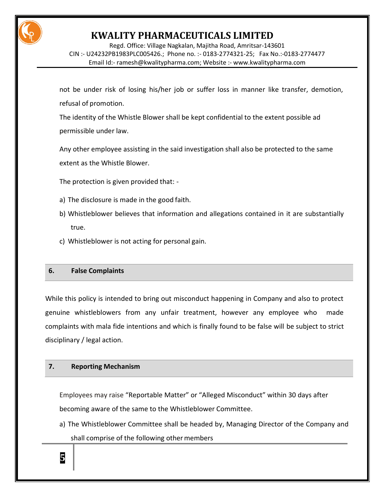

Regd. Office: Village Nagkalan, Majitha Road, Amritsar-143601 CIN :- U24232PB1983PLC005426.; Phone no. :- 0183-2774321-25; Fax No.:-0183-2774477 Email Id:- [ramesh@kwalitypharma.com;](mailto:ramesh@kwalitypharma.com) Website :- [www.kwalitypharma.com](http://www.kwalitypharma.com/)

not be under risk of losing his/her job or suffer loss in manner like transfer, demotion, refusal of promotion.

The identity of the Whistle Blower shall be kept confidential to the extent possible ad permissible under law.

Any other employee assisting in the said investigation shall also be protected to the same extent as the Whistle Blower.

The protection is given provided that: -

- a) The disclosure is made in the good faith.
- b) Whistleblower believes that information and allegations contained in it are substantially true.
- c) Whistleblower is not acting for personal gain.

### **6. False Complaints**

While this policy is intended to bring out misconduct happening in Company and also to protect genuine whistleblowers from any unfair treatment, however any employee who made complaints with mala fide intentions and which is finally found to be false will be subject to strict disciplinary / legal action.

### **7. Reporting Mechanism**

Employees may raise "Reportable Matter" or "Alleged Misconduct" within 30 days after becoming aware of the same to the Whistleblower Committee.

a) The Whistleblower Committee shall be headed by, Managing Director of the Company and shall comprise of the following other members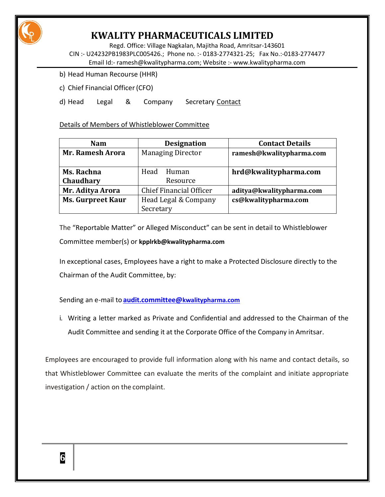

Regd. Office: Village Nagkalan, Majitha Road, Amritsar-143601 CIN :- U24232PB1983PLC005426.; Phone no. :- 0183-2774321-25; Fax No.:-0183-2774477 Email Id:- [ramesh@kwalitypharma.com;](mailto:ramesh@kwalitypharma.com) Website :- [www.kwalitypharma.com](http://www.kwalitypharma.com/)

- b) Head Human Recourse (HHR)
- c) Chief Financial Officer(CFO)

d) Head Legal & Company Secretary Contact

Details of Members of Whistleblower Committee

| <b>Nam</b>               | <b>Designation</b>       | <b>Contact Details</b>   |
|--------------------------|--------------------------|--------------------------|
| <b>Mr. Ramesh Arora</b>  | <b>Managing Director</b> | ramesh@kwalitypharma.com |
|                          |                          |                          |
| Ms. Rachna               | Head<br>Human            | hrd@kwalitypharma.com    |
| Chaudhary                | Resource                 |                          |
| Mr. Aditya Arora         | Chief Financial Officer  | aditya@kwalitypharma.com |
| <b>Ms. Gurpreet Kaur</b> | Head Legal & Company     | cs@kwalitypharma.com     |
|                          | Secretary                |                          |

The "Reportable Matter" or Alleged Misconduct" can be sent in detail to Whistleblower Committee member(s) or **kpplrkb@kwalitypharma.com**

In exceptional cases, Employees have a right to make a Protected Disclosure directly to the Chairman of the Audit Committee, by:

Sending an e-mail to **[audit.committee@](mailto:audit.committee@kwalitypharma.com)kwalitypharma.com**

i. Writing a letter marked as Private and Confidential and addressed to the Chairman of the Audit Committee and sending it at the Corporate Office of the Company in Amritsar.

Employees are encouraged to provide full information along with his name and contact details, so that Whistleblower Committee can evaluate the merits of the complaint and initiate appropriate investigation / action on the complaint.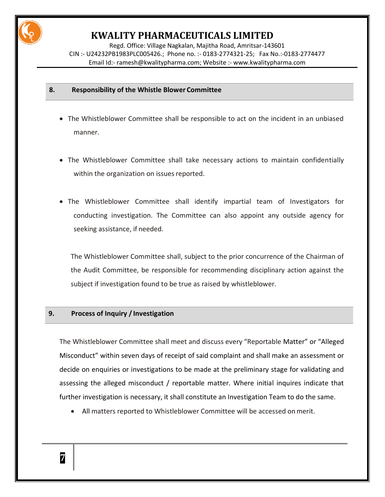

Regd. Office: Village Nagkalan, Majitha Road, Amritsar-143601 CIN :- U24232PB1983PLC005426.; Phone no. :- 0183-2774321-25; Fax No.:-0183-2774477 Email Id:- [ramesh@kwalitypharma.com;](mailto:ramesh@kwalitypharma.com) Website :- [www.kwalitypharma.com](http://www.kwalitypharma.com/)

### **8. Responsibility of the Whistle Blower Committee**

- The Whistleblower Committee shall be responsible to act on the incident in an unbiased manner.
- The Whistleblower Committee shall take necessary actions to maintain confidentially within the organization on issues reported.
- The Whistleblower Committee shall identify impartial team of Investigators for conducting investigation. The Committee can also appoint any outside agency for seeking assistance, if needed.

The Whistleblower Committee shall, subject to the prior concurrence of the Chairman of the Audit Committee, be responsible for recommending disciplinary action against the subject if investigation found to be true as raised by whistleblower.

### **9. Process of Inquiry / Investigation**

The Whistleblower Committee shall meet and discuss every "Reportable Matter" or "Alleged Misconduct" within seven days of receipt of said complaint and shall make an assessment or decide on enquiries or investigations to be made at the preliminary stage for validating and assessing the alleged misconduct / reportable matter. Where initial inquires indicate that further investigation is necessary, it shall constitute an Investigation Team to do the same.

All matters reported to Whistleblower Committee will be accessed onmerit.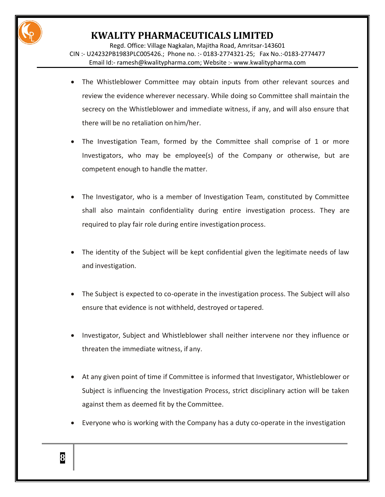

Regd. Office: Village Nagkalan, Majitha Road, Amritsar-143601 CIN :- U24232PB1983PLC005426.; Phone no. :- 0183-2774321-25; Fax No.:-0183-2774477 Email Id:- [ramesh@kwalitypharma.com;](mailto:ramesh@kwalitypharma.com) Website :- [www.kwalitypharma.com](http://www.kwalitypharma.com/)

- The Whistleblower Committee may obtain inputs from other relevant sources and review the evidence wherever necessary. While doing so Committee shall maintain the secrecy on the Whistleblower and immediate witness, if any, and will also ensure that there will be no retaliation on him/her.
- The Investigation Team, formed by the Committee shall comprise of 1 or more Investigators, who may be employee(s) of the Company or otherwise, but are competent enough to handle the matter.
- The Investigator, who is a member of Investigation Team, constituted by Committee shall also maintain confidentiality during entire investigation process. They are required to play fair role during entire investigation process.
- The identity of the Subject will be kept confidential given the legitimate needs of law and investigation.
- The Subject is expected to co-operate in the investigation process. The Subject will also ensure that evidence is not withheld, destroyed ortapered.
- Investigator, Subject and Whistleblower shall neither intervene nor they influence or threaten the immediate witness, if any.
- At any given point of time if Committee is informed that Investigator, Whistleblower or Subject is influencing the Investigation Process, strict disciplinary action will be taken against them as deemed fit by the Committee.
- Everyone who is working with the Company has a duty co-operate in the investigation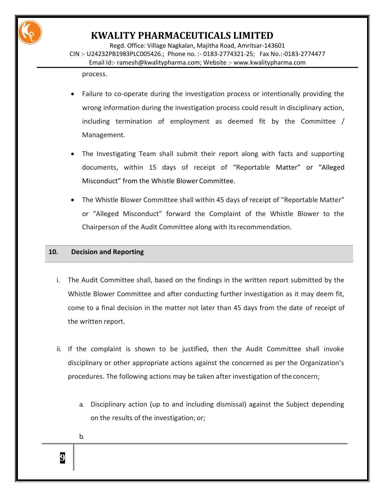

Regd. Office: Village Nagkalan, Majitha Road, Amritsar-143601 CIN :- U24232PB1983PLC005426.; Phone no. :- 0183-2774321-25; Fax No.:-0183-2774477 Email Id:- [ramesh@kwalitypharma.com;](mailto:ramesh@kwalitypharma.com) Website :- [www.kwalitypharma.com](http://www.kwalitypharma.com/)

process.

- Failure to co-operate during the investigation process or intentionally providing the wrong information during the investigation process could result in disciplinary action, including termination of employment as deemed fit by the Committee / Management.
- The Investigating Team shall submit their report along with facts and supporting documents, within 15 days of receipt of "Reportable Matter" or "Alleged Misconduct" from the Whistle Blower Committee.
- The Whistle Blower Committee shall within 45 days of receipt of "Reportable Matter" or "Alleged Misconduct" forward the Complaint of the Whistle Blower to the Chairperson of the Audit Committee along with itsrecommendation.

### **10. Decision and Reporting**

- i. The Audit Committee shall, based on the findings in the written report submitted by the Whistle Blower Committee and after conducting further investigation as it may deem fit, come to a final decision in the matter not later than 45 days from the date of receipt of the written report.
- ii. If the complaint is shown to be justified, then the Audit Committee shall invoke disciplinary or other appropriate actions against the concerned as per the Organization's procedures. The following actions may be taken after investigation of theconcern;
	- a. Disciplinary action (up to and including dismissal) against the Subject depending on the results of the investigation; or;

b.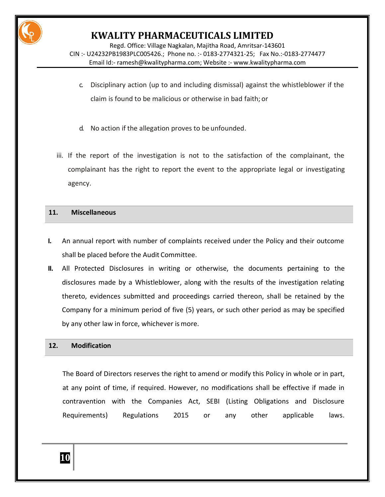

Regd. Office: Village Nagkalan, Majitha Road, Amritsar-143601 CIN :- U24232PB1983PLC005426.; Phone no. :- 0183-2774321-25; Fax No.:-0183-2774477 Email Id:- [ramesh@kwalitypharma.com;](mailto:ramesh@kwalitypharma.com) Website :- [www.kwalitypharma.com](http://www.kwalitypharma.com/)

- c. Disciplinary action (up to and including dismissal) against the whistleblower if the claim is found to be malicious or otherwise in bad faith; or
- d. No action if the allegation proves to be unfounded.
- iii. If the report of the investigation is not to the satisfaction of the complainant, the complainant has the right to report the event to the appropriate legal or investigating agency.

#### **11. Miscellaneous**

- **I.** An annual report with number of complaints received under the Policy and their outcome shall be placed before the Audit Committee.
- **II.** All Protected Disclosures in writing or otherwise, the documents pertaining to the disclosures made by a Whistleblower, along with the results of the investigation relating thereto, evidences submitted and proceedings carried thereon, shall be retained by the Company for a minimum period of five (5) years, or such other period as may be specified by any other law in force, whichever is more.

### **12. Modification**

The Board of Directors reserves the right to amend or modify this Policy in whole or in part, at any point of time, if required. However, no modifications shall be effective if made in contravention with the Companies Act, SEBI (Listing Obligations and Disclosure Requirements) Regulations 2015 or any other applicable laws.